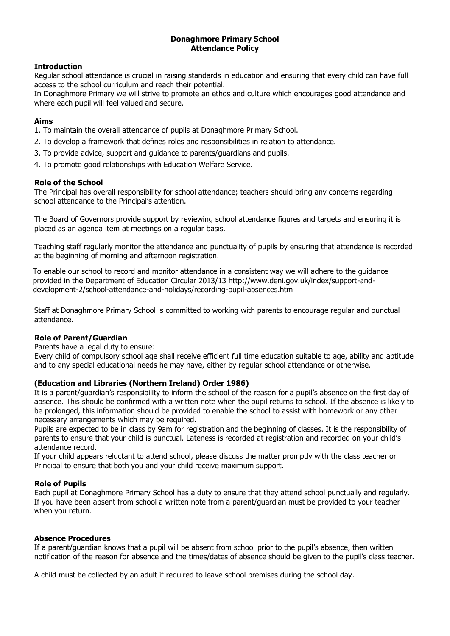## **Donaghmore Primary School Attendance Policy**

# **Introduction**

Regular school attendance is crucial in raising standards in education and ensuring that every child can have full access to the school curriculum and reach their potential.

In Donaghmore Primary we will strive to promote an ethos and culture which encourages good attendance and where each pupil will feel valued and secure.

# **Aims**

- 1. To maintain the overall attendance of pupils at Donaghmore Primary School.
- 2. To develop a framework that defines roles and responsibilities in relation to attendance.
- 3. To provide advice, support and guidance to parents/guardians and pupils.
- 4. To promote good relationships with Education Welfare Service.

## **Role of the School**

The Principal has overall responsibility for school attendance; teachers should bring any concerns regarding school attendance to the Principal's attention.

The Board of Governors provide support by reviewing school attendance figures and targets and ensuring it is placed as an agenda item at meetings on a regular basis.

Teaching staff regularly monitor the attendance and punctuality of pupils by ensuring that attendance is recorded at the beginning of morning and afternoon registration.

To enable our school to record and monitor attendance in a consistent way we will adhere to the guidance provided in the Department of Education Circular 2013/13 http://www.deni.gov.uk/index/support-anddevelopment-2/school-attendance-and-holidays/recording-pupil-absences.htm

Staff at Donaghmore Primary School is committed to working with parents to encourage regular and punctual attendance.

## **Role of Parent/Guardian**

Parents have a legal duty to ensure:

Every child of compulsory school age shall receive efficient full time education suitable to age, ability and aptitude and to any special educational needs he may have, either by regular school attendance or otherwise.

## **(Education and Libraries (Northern Ireland) Order 1986)**

It is a parent/guardian's responsibility to inform the school of the reason for a pupil's absence on the first day of absence. This should be confirmed with a written note when the pupil returns to school. If the absence is likely to be prolonged, this information should be provided to enable the school to assist with homework or any other necessary arrangements which may be required.

Pupils are expected to be in class by 9am for registration and the beginning of classes. It is the responsibility of parents to ensure that your child is punctual. Lateness is recorded at registration and recorded on your child's attendance record.

If your child appears reluctant to attend school, please discuss the matter promptly with the class teacher or Principal to ensure that both you and your child receive maximum support.

## **Role of Pupils**

Each pupil at Donaghmore Primary School has a duty to ensure that they attend school punctually and regularly. If you have been absent from school a written note from a parent/guardian must be provided to your teacher when you return.

## **Absence Procedures**

If a parent/guardian knows that a pupil will be absent from school prior to the pupil's absence, then written notification of the reason for absence and the times/dates of absence should be given to the pupil's class teacher.

A child must be collected by an adult if required to leave school premises during the school day.